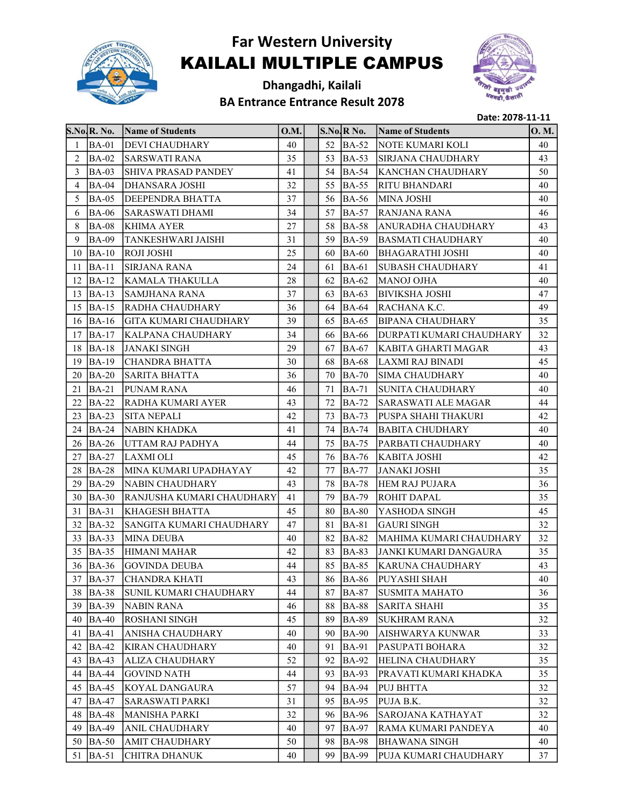

## Far Western University KAILALI MULTIPLE CAMPUS

Dhangadhi, Kailali BA Entrance Entrance Result 2078



Date: 2078-11-11

|    | S.No.R. No.  | Name of Students             | O.M. |     | S.No/R No.   | <b>Name of Students</b>    | 0. M. |
|----|--------------|------------------------------|------|-----|--------------|----------------------------|-------|
| 1  | $BA-01$      | <b>DEVI CHAUDHARY</b>        | 40   | 52  | $BA-52$      | NOTE KUMARI KOLI           | 40    |
| 2  | $BA-02$      | <b>SARSWATI RANA</b>         | 35   |     | 53 BA-53     | <b>SIRJANA CHAUDHARY</b>   | 43    |
| 3  | $BA-03$      | SHIVA PRASAD PANDEY          | 41   | 54  | <b>BA-54</b> | <b>KANCHAN CHAUDHARY</b>   | 50    |
| 4  | BA-04        | DHANSARA JOSHI               | 32   | 55  | <b>BA-55</b> | <b>RITU BHANDARI</b>       | 40    |
| 5  | <b>BA-05</b> | DEEPENDRA BHATTA             | 37   | 56  | <b>BA-56</b> | <b>MINA JOSHI</b>          | 40    |
| 6  | <b>BA-06</b> | <b>SARASWATI DHAMI</b>       | 34   | 57  | <b>BA-57</b> | RANJANA RANA               | 46    |
| 8  | <b>BA-08</b> | <b>KHIMA AYER</b>            | 27   | 58  | <b>BA-58</b> | <b>ANURADHA CHAUDHARY</b>  | 43    |
| 9  | <b>BA-09</b> | TANKESHWARI JAISHI           | 31   | 59  | <b>BA-59</b> | <b>BASMATI CHAUDHARY</b>   | 40    |
| 10 | $BA-10$      | <b>ROJI JOSHI</b>            | 25   | 60  | <b>BA-60</b> | <b>BHAGARATHI JOSHI</b>    | 40    |
| 11 | $BA-11$      | <b>SIRJANA RANA</b>          | 24   | 61  | <b>BA-61</b> | SUBASH CHAUDHARY           | 41    |
| 12 | $BA-12$      | KAMALA THAKULLA              | 28   | 62  | <b>BA-62</b> | <b>MANOJ OJHA</b>          | 40    |
| 13 | $BA-13$      | SAMJHANA RANA                | 37   | 63  | <b>BA-63</b> | <b>BIVIKSHA JOSHI</b>      | 47    |
| 15 | $BA-15$      | RADHA CHAUDHARY              | 36   | 64  | <b>BA-64</b> | RACHANA K.C.               | 49    |
| 16 | $BA-16$      | <b>GITA KUMARI CHAUDHARY</b> | 39   | 65  | <b>BA-65</b> | <b>BIPANA CHAUDHARY</b>    | 35    |
| 17 | $BA-17$      | <b>KALPANA CHAUDHARY</b>     | 34   | 66  | <b>BA-66</b> | DURPATI KUMARI CHAUDHARY   | 32    |
| 18 | $BA-18$      | <b>JANAKI SINGH</b>          | 29   | 67  | <b>BA-67</b> | KABITA GHARTI MAGAR        | 43    |
| 19 | $BA-19$      | <b>CHANDRA BHATTA</b>        | 30   | 68  | <b>BA-68</b> | LAXMI RAJ BINADI           | 45    |
| 20 | $BA-20$      | <b>SARITA BHATTA</b>         | 36   | 70  | <b>BA-70</b> | <b>SIMA CHAUDHARY</b>      | 40    |
| 21 | $BA-21$      | PUNAM RANA                   | 46   | 71  | <b>BA-71</b> | SUNITA CHAUDHARY           | 40    |
| 22 | $BA-22$      | <b>RADHA KUMARI AYER</b>     | 43   | 72  | <b>BA-72</b> | <b>SARASWATI ALE MAGAR</b> | 44    |
| 23 | $BA-23$      | <b>SITA NEPALI</b>           | 42   | 73  | <b>BA-73</b> | PUSPA SHAHI THAKURI        | 42    |
| 24 | $BA-24$      | NABIN KHADKA                 | 41   | 74  | <b>BA-74</b> | <b>BABITA CHUDHARY</b>     | 40    |
| 26 | $BA-26$      | UTTAM RAJ PADHYA             | 44   | 75  | <b>BA-75</b> | PARBATI CHAUDHARY          | 40    |
| 27 | BA-27        | LAXMI OLI                    | 45   | 76  | <b>BA-76</b> | <b>KABITA JOSHI</b>        | 42    |
| 28 | <b>BA-28</b> | MINA KUMARI UPADHAYAY        | 42   | 77  | <b>BA-77</b> | <b>JANAKI JOSHI</b>        | 35    |
| 29 | $BA-29$      | NABIN CHAUDHARY              | 43   | 78  | <b>BA-78</b> | <b>HEM RAJ PUJARA</b>      | 36    |
|    | 30 BA-30     | RANJUSHA KUMARI CHAUDHARY    | 41   | 79  | <b>BA-79</b> | <b>ROHIT DAPAL</b>         | 35    |
| 31 | $BA-31$      | KHAGESH BHATTA               | 45   | 80  | <b>BA-80</b> | YASHODA SINGH              | 45    |
| 32 | $BA-32$      | SANGITA KUMARI CHAUDHARY     | 47   | 81  | <b>BA-81</b> | <b>GAURI SINGH</b>         | 32    |
| 33 | $BA-33$      | <b>MINA DEUBA</b>            | 40   | 82  | <b>BA-82</b> | MAHIMA KUMARI CHAUDHARY    | 32    |
|    | $35$ BA-35   | <b>HIMANI MAHAR</b>          | 42   | 83  | <b>BA-83</b> | JANKI KUMARI DANGAURA      | 35    |
|    | 36 BA-36     | <b>GOVINDA DEUBA</b>         | 44   | 85  | <b>BA-85</b> | <b>KARUNA CHAUDHARY</b>    | 43    |
|    | $37$ BA-37   | <b>CHANDRA KHATI</b>         | 43   |     | 86 BA-86     | <b>PUYASHI SHAH</b>        | 40    |
| 38 | $BA-38$      | SUNIL KUMARI CHAUDHARY       | 44   | 87  | <b>BA-87</b> | <b>SUSMITA MAHATO</b>      | 36    |
| 39 | $BA-39$      | <b>NABIN RANA</b>            | 46   | 88  | <b>BA-88</b> | <b>SARITA SHAHI</b>        | 35    |
| 40 | $BA-40$      | ROSHANI SINGH                | 45   | 89  | <b>BA-89</b> | <b>SUKHRAM RANA</b>        | 32    |
| 41 | BA-41        | ANISHA CHAUDHARY             | 40   | 90  | <b>BA-90</b> | AISHWARYA KUNWAR           | 33    |
| 42 | $BA-42$      | <b>KIRAN CHAUDHARY</b>       | 40   | 91  | <b>BA-91</b> | PASUPATI BOHARA            | 32    |
| 43 | $BA-43$      | <b>ALIZA CHAUDHARY</b>       | 52   | 92  | <b>BA-92</b> | HELINA CHAUDHARY           | 35    |
| 44 | <b>BA-44</b> | <b>GOVIND NATH</b>           | 44   | 93  | <b>BA-93</b> | PRAVATI KUMARI KHADKA      | 35    |
| 45 | $BA-45$      | KOYAL DANGAURA               | 57   | 94  | <b>BA-94</b> | <b>PUJ BHTTA</b>           | 32    |
| 47 | <b>BA-47</b> | <b>SARASWATI PARKI</b>       | 31   | 95  | <b>BA-95</b> | PUJA B.K.                  | 32    |
| 48 | <b>BA-48</b> | <b>MANISHA PARKI</b>         | 32   | 96  | <b>BA-96</b> | SAROJANA KATHAYAT          | 32    |
| 49 | $BA-49$      | ANIL CHAUDHARY               | 40   | 97  | <b>BA-97</b> | RAMA KUMARI PANDEYA        | 40    |
|    | 50   BA-50   | AMIT CHAUDHARY               | 50   | 98  | <b>BA-98</b> | <b>BHAWANA SINGH</b>       | 40    |
| 51 | $BA-51$      | CHITRA DHANUK                | 40   | 99. | <b>BA-99</b> | PUJA KUMARI CHAUDHARY      | 37    |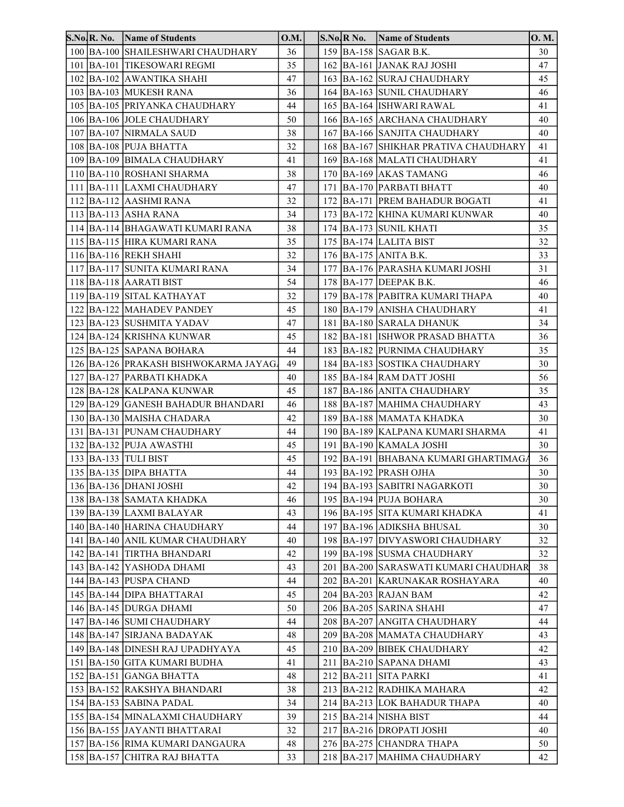| <b>S.No.R. No.</b> | <b>Name of Students</b>               | 0.M. |  | $S.No, R\ No.$ | Name of Students                         | 0. M. |
|--------------------|---------------------------------------|------|--|----------------|------------------------------------------|-------|
|                    | 100 BA-100 SHAILESHWARI CHAUDHARY     | 36   |  |                | 159 BA-158 SAGAR B.K.                    | 30    |
|                    | 101   BA-101   TIKESOWARI REGMI       | 35   |  |                | 162 BA-161 JANAK RAJ JOSHI               | 47    |
|                    | 102 BA-102 AWANTIKA SHAHI             | 47   |  |                | 163 BA-162 SURAJ CHAUDHARY               | 45    |
|                    | 103 BA-103 MUKESH RANA                | 36   |  |                | 164 BA-163 SUNIL CHAUDHARY               | 46    |
|                    | 105 BA-105 PRIYANKA CHAUDHARY         | 44   |  |                | 165 BA-164 ISHWARI RAWAL                 | 41    |
|                    | 106 BA-106 JOLE CHAUDHARY             | 50   |  |                | 166 BA-165 ARCHANA CHAUDHARY             | 40    |
|                    | 107 BA-107 NIRMALA SAUD               | 38   |  |                | 167 BA-166 SANJITA CHAUDHARY             | 40    |
|                    | 108 BA-108 PUJA BHATTA                | 32   |  |                | 168 BA-167 SHIKHAR PRATIVA CHAUDHARY     | 41    |
|                    | 109 BA-109 BIMALA CHAUDHARY           | 41   |  |                | 169 BA-168 MALATI CHAUDHARY              | 41    |
|                    | 110   BA-110   ROSHANI SHARMA         | 38   |  |                | 170 BA-169 AKAS TAMANG                   | 46    |
|                    | 111   BA-111   LAXMI CHAUDHARY        | 47   |  |                | 171 BA-170 PARBATI BHATT                 | 40    |
|                    | 112 BA-112 AASHMI RANA                | 32   |  |                | 172 BA-171 PREM BAHADUR BOGATI           | 41    |
|                    | 113 BA-113 ASHA RANA                  | 34   |  |                | 173   BA-172   KHINA KUMARI KUNWAR       | 40    |
|                    | 114   BA-114   BHAGAWATI KUMARI RANA  | 38   |  |                | 174 BA-173 SUNIL KHATI                   | 35    |
|                    | 115   BA-115   HIRA KUMARI RANA       | 35   |  |                | 175 BA-174 LALITA BIST                   | 32    |
|                    | 116 BA-116 REKH SHAHI                 | 32   |  |                | 176 BA-175 ANITA B.K.                    | 33    |
|                    | 117 BA-117 SUNITA KUMARI RANA         | 34   |  |                | 177 BA-176 PARASHA KUMARI JOSHI          | 31    |
|                    | 118 BA-118 AARATI BIST                | 54   |  |                | 178 BA-177 DEEPAK B.K.                   | 46    |
|                    | 119 BA-119 SITAL KATHAYAT             | 32   |  |                | 179 BA-178 PABITRA KUMARI THAPA          | 40    |
|                    | 122 BA-122 MAHADEV PANDEY             | 45   |  |                | 180 BA-179 ANISHA CHAUDHARY              | 41    |
|                    | 123 BA-123 SUSHMITA YADAV             | 47   |  |                | 181 BA-180 SARALA DHANUK                 | 34    |
|                    | 124   BA-124   KRISHNA KUNWAR         | 45   |  |                | 182 BA-181 ISHWOR PRASAD BHATTA          | 36    |
|                    | 125   BA-125   SAPANA BOHARA          | 44   |  |                | 183 BA-182 PURNIMA CHAUDHARY             | 35    |
|                    | 126 BA-126 PRAKASH BISHWOKARMA JAYAG. | 49   |  |                | 184 BA-183 SOSTIKA CHAUDHARY             | 30    |
|                    | 127 BA-127 PARBATI KHADKA             | 40   |  |                | 185 BA-184 RAM DATT JOSHI                | 56    |
|                    | 128 BA-128 KALPANA KUNWAR             | 45   |  |                | 187 BA-186 ANITA CHAUDHARY               | 35    |
|                    | 129 BA-129 GANESH BAHADUR BHANDARI    | 46   |  |                | 188   BA-187   MAHIMA CHAUDHARY          | 43    |
|                    | 130   BA-130   MAISHA CHADARA         | 42   |  |                | 189   BA-188   MAMATA KHADKA             | 30    |
|                    | 131 BA-131 PUNAM CHAUDHARY            | 44   |  |                | 190 BA-189 KALPANA KUMARI SHARMA         | 41    |
|                    | 132 BA-132 PUJA AWASTHI               | 45   |  |                | 191   BA-190   KAMALA JOSHI              | 30    |
|                    | 133 BA-133 TULI BIST                  | 45   |  |                | 192   BA-191   BHABANA KUMARI GHARTIMAGA | 36    |
|                    | 135 BA-135 DIPA BHATTA                | 44   |  |                | 193 BA-192 PRASH OJHA                    | 30    |
|                    | 136   BA-136   DHANI JOSHI            | 42   |  |                | 194 BA-193 SABITRI NAGARKOTI             | 30    |
|                    | 138   BA-138   SAMATA KHADKA          | 46   |  |                | 195   BA-194   PUJA BOHARA               | 30    |
|                    | 139 BA-139 LAXMI BALAYAR              | 43   |  |                | 196   BA-195   SITA KUMARI KHADKA        | 41    |
|                    | 140 BA-140 HARINA CHAUDHARY           | 44   |  |                | 197 BA-196 ADIKSHA BHUSAL                | 30    |
|                    | 141 BA-140 ANIL KUMAR CHAUDHARY       | 40   |  |                | 198 BA-197 DIVYASWORI CHAUDHARY          | 32    |
|                    | 142 BA-141 TIRTHA BHANDARI            | 42   |  |                | 199 BA-198 SUSMA CHAUDHARY               | 32    |
|                    | 143   BA-142   YASHODA DHAMI          | 43   |  |                | 201 BA-200 SARASWATI KUMARI CHAUDHAR     | 38    |
|                    | 144 BA-143 PUSPA CHAND                | 44   |  |                | 202 BA-201 KARUNAKAR ROSHAYARA           | 40    |
|                    | 145   BA-144   DIPA BHATTARAI         | 45   |  |                | 204 BA-203 RAJAN BAM                     | 42    |
|                    | 146   BA-145   DURGA DHAMI            | 50   |  |                | 206 BA-205 SARINA SHAHI                  | 47    |
|                    | 147 BA-146 SUMI CHAUDHARY             | 44   |  |                | 208 BA-207 ANGITA CHAUDHARY              | 44    |
|                    | 148 BA-147 SIRJANA BADAYAK            | 48   |  |                | 209 BA-208 MAMATA CHAUDHARY              | 43    |
|                    | 149 BA-148 DINESH RAJ UPADHYAYA       | 45   |  |                | 210 BA-209 BIBEK CHAUDHARY               | 42    |
|                    | 151   BA-150   GITA KUMARI BUDHA      | 41   |  |                | 211 BA-210 SAPANA DHAMI                  | 43    |
|                    | 152 BA-151 GANGA BHATTA               | 48   |  |                | 212 BA-211 SITA PARKI                    | 41    |
|                    | 153   BA-152   RAKSHYA BHANDARI       | 38   |  |                | 213 BA-212 RADHIKA MAHARA                | 42    |
|                    | 154 BA-153 SABINA PADAL               | 34   |  |                | 214 BA-213 LOK BAHADUR THAPA             | 40    |
|                    | 155   BA-154   MINALAXMI CHAUDHARY    | 39   |  |                | 215 BA-214 NISHA BIST                    | 44    |
|                    | 156 BA-155 JAYANTI BHATTARAI          | 32   |  |                | 217 BA-216 DROPATI JOSHI                 | 40    |
|                    | 157   BA-156   RIMA KUMARI DANGAURA   | 48   |  |                | 276 BA-275 CHANDRA THAPA                 | 50    |
|                    | 158   BA-157   CHITRA RAJ BHATTA      | 33   |  |                | 218 BA-217 MAHIMA CHAUDHARY              | 42    |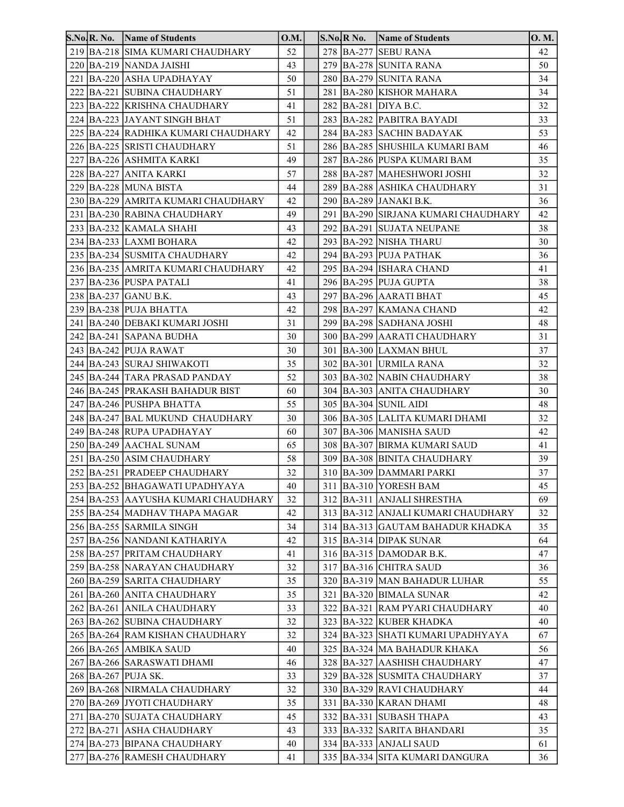|  | S.No.R. No. Name of Students            | O.M. |  | S.No.R No. | Name of Students                        | 0. M. |
|--|-----------------------------------------|------|--|------------|-----------------------------------------|-------|
|  | 219 BA-218 SIMA KUMARI CHAUDHARY        | 52   |  |            | 278 BA-277 SEBU RANA                    | 42    |
|  | 220 BA-219 NANDA JAISHI                 | 43   |  |            | 279 BA-278 SUNITA RANA                  | 50    |
|  | 221 BA-220 ASHA UPADHAYAY               | 50   |  |            | 280 BA-279 SUNITA RANA                  | 34    |
|  | 222 BA-221 SUBINA CHAUDHARY             | 51   |  |            | 281 BA-280 KISHOR MAHARA                | 34    |
|  | 223 BA-222 KRISHNA CHAUDHARY            | 41   |  |            | 282 BA-281 DIYA B.C.                    | 32    |
|  | 224 BA-223 JAYANT SINGH BHAT            | 51   |  |            | 283 BA-282 PABITRA BAYADI               | 33    |
|  | 225 BA-224 RADHIKA KUMARI CHAUDHARY     | 42   |  |            | 284 BA-283 SACHIN BADAYAK               | 53    |
|  | 226 BA-225 SRISTI CHAUDHARY             | 51   |  |            | 286 BA-285 SHUSHILA KUMARI BAM          | 46    |
|  | 227 BA-226 ASHMITA KARKI                | 49   |  |            | 287 BA-286 PUSPA KUMARI BAM             | 35    |
|  | 228 BA-227 ANITA KARKI                  | 57   |  |            | 288 BA-287 MAHESHWORI JOSHI             | 32    |
|  | 229 BA-228 MUNA BISTA                   | 44   |  |            | 289 BA-288 ASHIKA CHAUDHARY             | 31    |
|  | 230 BA-229 AMRITA KUMARI CHAUDHARY      | 42   |  |            | 290 BA-289 JANAKI B.K.                  | 36    |
|  | 231 BA-230 RABINA CHAUDHARY             | 49   |  |            | 291   BA-290   SIRJANA KUMARI CHAUDHARY | 42    |
|  | 233 BA-232 KAMALA SHAHI                 | 43   |  |            | 292  BA-291  SUJATA NEUPANE             | 38    |
|  | 234 BA-233 LAXMI BOHARA                 | 42   |  |            | 293 BA-292 NISHA THARU                  | 30    |
|  | 235 BA-234 SUSMITA CHAUDHARY            | 42   |  |            | 294 BA-293 PUJA PATHAK                  | 36    |
|  | 236 BA-235 AMRITA KUMARI CHAUDHARY      | 42   |  |            | 295 BA-294 ISHARA CHAND                 | 41    |
|  | 237 BA-236 PUSPA PATALI                 | 41   |  |            | 296 BA-295 PUJA GUPTA                   | 38    |
|  | 238 BA-237 GANU B.K.                    | 43   |  |            | 297 BA-296 AARATI BHAT                  | 45    |
|  | 239 BA-238 PUJA BHATTA                  | 42   |  |            | 298 BA-297 KAMANA CHAND                 | 42    |
|  | 241   BA-240   DEBAKI KUMARI JOSHI      | 31   |  |            | 299 BA-298 SADHANA JOSHI                | 48    |
|  | 242 BA-241 SAPANA BUDHA                 | 30   |  |            | 300 BA-299 AARATI CHAUDHARY             | 31    |
|  | 243 BA-242 PUJA RAWAT                   | 30   |  |            | 301 BA-300 LAXMAN BHUL                  | 37    |
|  | 244 BA-243 SURAJ SHIWAKOTI              | 35   |  |            | 302 BA-301 URMILA RANA                  | 32    |
|  | 245 BA-244 TARA PRASAD PANDAY           | 52   |  |            | 303 BA-302 NABIN CHAUDHARY              | 38    |
|  | 246 BA-245 PRAKASH BAHADUR BIST         | 60   |  |            | 304 BA-303 ANITA CHAUDHARY              | 30    |
|  | 247 BA-246 PUSHPA BHATTA                | 55   |  |            | 305 BA-304 SUNIL AIDI                   | 48    |
|  | 248 BA-247 BAL MUKUND CHAUDHARY         | 30   |  |            | 306 BA-305 LALITA KUMARI DHAMI          | 32    |
|  | 249 BA-248 RUPA UPADHAYAY               | 60   |  |            | 307 BA-306 MANISHA SAUD                 | 42    |
|  | 250 BA-249 AACHAL SUNAM                 | 65   |  |            | 308 BA-307 BIRMA KUMARI SAUD            | 41    |
|  | 251 BA-250 ASIM CHAUDHARY               | 58   |  |            | 309 BA-308 BINITA CHAUDHARY             | 39    |
|  | 252 BA-251 PRADEEP CHAUDHARY            | 32   |  |            | 310 BA-309 DAMMARI PARKI                | 37    |
|  | 253 BA-252 BHAGAWATI UPADHYAYA          | 40   |  |            | 311 BA-310 YORESH BAM                   | 45    |
|  | 254   BA-253   AAYUSHA KUMARI CHAUDHARY | 32   |  |            | 312 BA-311 ANJALI SHRESTHA              | 69    |
|  | 255 BA-254 MADHAV THAPA MAGAR           | 42   |  |            | 313 BA-312 ANJALI KUMARI CHAUDHARY      | 32    |
|  | 256 BA-255 SARMILA SINGH                | 34   |  |            | 314 BA-313 GAUTAM BAHADUR KHADKA        | 35    |
|  | 257 BA-256 NANDANI KATHARIYA            | 42   |  |            | 315 BA-314 DIPAK SUNAR                  | 64    |
|  | 258 BA-257 PRITAM CHAUDHARY             | 41   |  |            | 316 BA-315 DAMODAR B.K.                 | 47    |
|  | 259 BA-258 NARAYAN CHAUDHARY            | 32   |  |            | 317 BA-316 CHITRA SAUD                  | 36    |
|  | 260 BA-259 SARITA CHAUDHARY             | 35   |  |            | 320 BA-319 MAN BAHADUR LUHAR            | 55    |
|  | 261 BA-260 ANITA CHAUDHARY              | 35   |  |            | 321 BA-320 BIMALA SUNAR                 | 42    |
|  | 262 BA-261 ANILA CHAUDHARY              | 33   |  |            | 322 BA-321 RAM PYARI CHAUDHARY          | 40    |
|  | 263 BA-262 SUBINA CHAUDHARY             | 32   |  |            | 323 BA-322 KUBER KHADKA                 | 40    |
|  | 265 BA-264 RAM KISHAN CHAUDHARY         | 32   |  |            | 324 BA-323 SHATI KUMARI UPADHYAYA       | 67    |
|  | 266 BA-265 AMBIKA SAUD                  | 40   |  |            | 325 BA-324 MA BAHADUR KHAKA             | 56    |
|  | 267 BA-266 SARASWATI DHAMI              | 46   |  |            | 328 BA-327 AASHISH CHAUDHARY            | 47    |
|  | 268 BA-267 PUJA SK.                     | 33   |  |            | 329 BA-328 SUSMITA CHAUDHARY            | 37    |
|  | 269 BA-268 NIRMALA CHAUDHARY            | 32   |  |            | 330 BA-329 RAVI CHAUDHARY               | 44    |
|  | 270   BA-269   JYOTI CHAUDHARY          | 35   |  |            | 331 BA-330 KARAN DHAMI                  | 48    |
|  | 271   BA-270   SUJATA CHAUDHARY         | 45   |  |            | 332 BA-331 SUBASH THAPA                 | 43    |
|  | 272 BA-271 ASHA CHAUDHARY               | 43   |  |            | 333 BA-332 SARITA BHANDARI              | 35    |
|  | 274 BA-273 BIPANA CHAUDHARY             | 40   |  |            | 334 BA-333 ANJALI SAUD                  | 61    |
|  | 277 BA-276 RAMESH CHAUDHARY             | 41   |  |            | 335   BA-334   SITA KUMARI DANGURA      | 36    |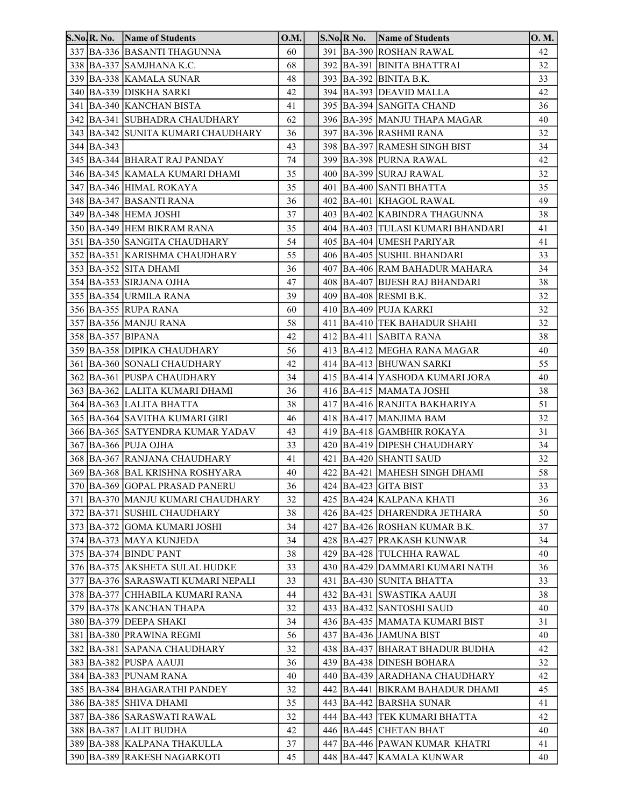| 337 BA-336 BASANTI THAGUNNA<br>391 BA-390 ROSHAN RAWAL<br>60<br>42<br>338   BA-337   SAMJHANA K.C.<br>32<br>68<br>392 BA-391 BINITA BHATTRAI<br>339 BA-338 KAMALA SUNAR<br>48<br>393 BA-392 BINITA B.K.<br>33<br>340   BA-339   DISKHA SARKI<br>42<br>394 BA-393 DEAVID MALLA<br>42<br>341 BA-340 KANCHAN BISTA<br>395 BA-394 SANGITA CHAND<br>36<br>41<br>342  BA-341  SUBHADRA CHAUDHARY<br>62<br>396 BA-395 MANJU THAPA MAGAR<br>40<br>32<br>343  BA-342  SUNITA KUMARI CHAUDHARY<br>397 BA-396 RASHMI RANA<br>36<br>344 BA-343<br>43<br>398 BA-397 RAMESH SINGH BIST<br>34<br>345 BA-344 BHARAT RAJ PANDAY<br>74<br>399 BA-398 PURNA RAWAL<br>42<br>346  BA-345  KAMALA KUMARI DHAMI<br>35<br>400 BA-399 SURAJ RAWAL<br>32<br>347   BA-346   HIMAL ROKAYA<br>35<br>401   BA-400   SANTI BHATTA<br>35<br>348  BA-347  BASANTI RANA<br>36<br>402 BA-401 KHAGOL RAWAL<br>49<br>349 BA-348 HEMA JOSHI<br>37<br>403 BA-402 KABINDRA THAGUNNA<br>38<br>35<br>350 BA-349 HEM BIKRAM RANA<br>404   BA-403   TULASI KUMARI BHANDARI<br>41<br>351 BA-350 SANGITA CHAUDHARY<br>54<br>405 BA-404 UMESH PARIYAR<br>41<br>352 BA-351 KARISHMA CHAUDHARY<br>406 BA-405 SUSHIL BHANDARI<br>33<br>55<br>353 BA-352 SITA DHAMI<br>36<br>407 BA-406 RAM BAHADUR MAHARA<br>34<br>354 BA-353 SIRJANA OJHA<br>47<br>408 BA-407 BIJESH RAJ BHANDARI<br>38<br>355   BA-354   URMILA RANA<br>39<br>409 BA-408 RESMI B.K.<br>32<br>356 BA-355 RUPA RANA<br>60<br>410 BA-409 PUJA KARKI<br>32<br>357 BA-356 MANJU RANA<br>58<br>411 BA-410 TEK BAHADUR SHAHI<br>32<br>358 BA-357 BIPANA<br>42<br>38<br>412 BA-411 SABITA RANA<br>359 BA-358 DIPIKA CHAUDHARY<br>56<br>413  BA-412  MEGHA RANA MAGAR<br>40<br>361 BA-360 SONALI CHAUDHARY<br>42<br>414 BA-413 BHUWAN SARKI<br>55<br>362 BA-361 PUSPA CHAUDHARY<br>34<br>415   BA-414   YASHODA KUMARI JORA<br>40<br>363 BA-362 LALITA KUMARI DHAMI<br>36<br>416 BA-415 MAMATA JOSHI<br>38<br>364 BA-363 LALITA BHATTA<br>417 BA-416 RANJITA BAKHARIYA<br>38<br>51<br>365   BA-364   SAVITHA KUMARI GIRI<br>418 BA-417 MANJIMA BAM<br>32<br>46<br>366 BA-365 SATYENDRA KUMAR YADAV<br>43<br>419 BA-418 GAMBHIR ROKAYA<br>31<br>367 BA-366 PUJA OJHA<br>33<br>420 BA-419 DIPESH CHAUDHARY<br>34<br>368 BA-367 RANJANA CHAUDHARY<br>421 BA-420 SHANTI SAUD<br>32<br>41<br>369 BA-368 BAL KRISHNA ROSHYARA<br>422 BA-421 MAHESH SINGH DHAMI<br>58<br>40 |
|-----------------------------------------------------------------------------------------------------------------------------------------------------------------------------------------------------------------------------------------------------------------------------------------------------------------------------------------------------------------------------------------------------------------------------------------------------------------------------------------------------------------------------------------------------------------------------------------------------------------------------------------------------------------------------------------------------------------------------------------------------------------------------------------------------------------------------------------------------------------------------------------------------------------------------------------------------------------------------------------------------------------------------------------------------------------------------------------------------------------------------------------------------------------------------------------------------------------------------------------------------------------------------------------------------------------------------------------------------------------------------------------------------------------------------------------------------------------------------------------------------------------------------------------------------------------------------------------------------------------------------------------------------------------------------------------------------------------------------------------------------------------------------------------------------------------------------------------------------------------------------------------------------------------------------------------------------------------------------------------------------------------------------------------------------------------------------------------------------------------------------------------------------------------------------------------------------------------------------------------------------------------------------------------------------------------------------------------------------------------------------|
|                                                                                                                                                                                                                                                                                                                                                                                                                                                                                                                                                                                                                                                                                                                                                                                                                                                                                                                                                                                                                                                                                                                                                                                                                                                                                                                                                                                                                                                                                                                                                                                                                                                                                                                                                                                                                                                                                                                                                                                                                                                                                                                                                                                                                                                                                                                                                                             |
|                                                                                                                                                                                                                                                                                                                                                                                                                                                                                                                                                                                                                                                                                                                                                                                                                                                                                                                                                                                                                                                                                                                                                                                                                                                                                                                                                                                                                                                                                                                                                                                                                                                                                                                                                                                                                                                                                                                                                                                                                                                                                                                                                                                                                                                                                                                                                                             |
|                                                                                                                                                                                                                                                                                                                                                                                                                                                                                                                                                                                                                                                                                                                                                                                                                                                                                                                                                                                                                                                                                                                                                                                                                                                                                                                                                                                                                                                                                                                                                                                                                                                                                                                                                                                                                                                                                                                                                                                                                                                                                                                                                                                                                                                                                                                                                                             |
|                                                                                                                                                                                                                                                                                                                                                                                                                                                                                                                                                                                                                                                                                                                                                                                                                                                                                                                                                                                                                                                                                                                                                                                                                                                                                                                                                                                                                                                                                                                                                                                                                                                                                                                                                                                                                                                                                                                                                                                                                                                                                                                                                                                                                                                                                                                                                                             |
|                                                                                                                                                                                                                                                                                                                                                                                                                                                                                                                                                                                                                                                                                                                                                                                                                                                                                                                                                                                                                                                                                                                                                                                                                                                                                                                                                                                                                                                                                                                                                                                                                                                                                                                                                                                                                                                                                                                                                                                                                                                                                                                                                                                                                                                                                                                                                                             |
|                                                                                                                                                                                                                                                                                                                                                                                                                                                                                                                                                                                                                                                                                                                                                                                                                                                                                                                                                                                                                                                                                                                                                                                                                                                                                                                                                                                                                                                                                                                                                                                                                                                                                                                                                                                                                                                                                                                                                                                                                                                                                                                                                                                                                                                                                                                                                                             |
|                                                                                                                                                                                                                                                                                                                                                                                                                                                                                                                                                                                                                                                                                                                                                                                                                                                                                                                                                                                                                                                                                                                                                                                                                                                                                                                                                                                                                                                                                                                                                                                                                                                                                                                                                                                                                                                                                                                                                                                                                                                                                                                                                                                                                                                                                                                                                                             |
|                                                                                                                                                                                                                                                                                                                                                                                                                                                                                                                                                                                                                                                                                                                                                                                                                                                                                                                                                                                                                                                                                                                                                                                                                                                                                                                                                                                                                                                                                                                                                                                                                                                                                                                                                                                                                                                                                                                                                                                                                                                                                                                                                                                                                                                                                                                                                                             |
|                                                                                                                                                                                                                                                                                                                                                                                                                                                                                                                                                                                                                                                                                                                                                                                                                                                                                                                                                                                                                                                                                                                                                                                                                                                                                                                                                                                                                                                                                                                                                                                                                                                                                                                                                                                                                                                                                                                                                                                                                                                                                                                                                                                                                                                                                                                                                                             |
|                                                                                                                                                                                                                                                                                                                                                                                                                                                                                                                                                                                                                                                                                                                                                                                                                                                                                                                                                                                                                                                                                                                                                                                                                                                                                                                                                                                                                                                                                                                                                                                                                                                                                                                                                                                                                                                                                                                                                                                                                                                                                                                                                                                                                                                                                                                                                                             |
|                                                                                                                                                                                                                                                                                                                                                                                                                                                                                                                                                                                                                                                                                                                                                                                                                                                                                                                                                                                                                                                                                                                                                                                                                                                                                                                                                                                                                                                                                                                                                                                                                                                                                                                                                                                                                                                                                                                                                                                                                                                                                                                                                                                                                                                                                                                                                                             |
|                                                                                                                                                                                                                                                                                                                                                                                                                                                                                                                                                                                                                                                                                                                                                                                                                                                                                                                                                                                                                                                                                                                                                                                                                                                                                                                                                                                                                                                                                                                                                                                                                                                                                                                                                                                                                                                                                                                                                                                                                                                                                                                                                                                                                                                                                                                                                                             |
|                                                                                                                                                                                                                                                                                                                                                                                                                                                                                                                                                                                                                                                                                                                                                                                                                                                                                                                                                                                                                                                                                                                                                                                                                                                                                                                                                                                                                                                                                                                                                                                                                                                                                                                                                                                                                                                                                                                                                                                                                                                                                                                                                                                                                                                                                                                                                                             |
|                                                                                                                                                                                                                                                                                                                                                                                                                                                                                                                                                                                                                                                                                                                                                                                                                                                                                                                                                                                                                                                                                                                                                                                                                                                                                                                                                                                                                                                                                                                                                                                                                                                                                                                                                                                                                                                                                                                                                                                                                                                                                                                                                                                                                                                                                                                                                                             |
|                                                                                                                                                                                                                                                                                                                                                                                                                                                                                                                                                                                                                                                                                                                                                                                                                                                                                                                                                                                                                                                                                                                                                                                                                                                                                                                                                                                                                                                                                                                                                                                                                                                                                                                                                                                                                                                                                                                                                                                                                                                                                                                                                                                                                                                                                                                                                                             |
|                                                                                                                                                                                                                                                                                                                                                                                                                                                                                                                                                                                                                                                                                                                                                                                                                                                                                                                                                                                                                                                                                                                                                                                                                                                                                                                                                                                                                                                                                                                                                                                                                                                                                                                                                                                                                                                                                                                                                                                                                                                                                                                                                                                                                                                                                                                                                                             |
|                                                                                                                                                                                                                                                                                                                                                                                                                                                                                                                                                                                                                                                                                                                                                                                                                                                                                                                                                                                                                                                                                                                                                                                                                                                                                                                                                                                                                                                                                                                                                                                                                                                                                                                                                                                                                                                                                                                                                                                                                                                                                                                                                                                                                                                                                                                                                                             |
|                                                                                                                                                                                                                                                                                                                                                                                                                                                                                                                                                                                                                                                                                                                                                                                                                                                                                                                                                                                                                                                                                                                                                                                                                                                                                                                                                                                                                                                                                                                                                                                                                                                                                                                                                                                                                                                                                                                                                                                                                                                                                                                                                                                                                                                                                                                                                                             |
|                                                                                                                                                                                                                                                                                                                                                                                                                                                                                                                                                                                                                                                                                                                                                                                                                                                                                                                                                                                                                                                                                                                                                                                                                                                                                                                                                                                                                                                                                                                                                                                                                                                                                                                                                                                                                                                                                                                                                                                                                                                                                                                                                                                                                                                                                                                                                                             |
|                                                                                                                                                                                                                                                                                                                                                                                                                                                                                                                                                                                                                                                                                                                                                                                                                                                                                                                                                                                                                                                                                                                                                                                                                                                                                                                                                                                                                                                                                                                                                                                                                                                                                                                                                                                                                                                                                                                                                                                                                                                                                                                                                                                                                                                                                                                                                                             |
|                                                                                                                                                                                                                                                                                                                                                                                                                                                                                                                                                                                                                                                                                                                                                                                                                                                                                                                                                                                                                                                                                                                                                                                                                                                                                                                                                                                                                                                                                                                                                                                                                                                                                                                                                                                                                                                                                                                                                                                                                                                                                                                                                                                                                                                                                                                                                                             |
|                                                                                                                                                                                                                                                                                                                                                                                                                                                                                                                                                                                                                                                                                                                                                                                                                                                                                                                                                                                                                                                                                                                                                                                                                                                                                                                                                                                                                                                                                                                                                                                                                                                                                                                                                                                                                                                                                                                                                                                                                                                                                                                                                                                                                                                                                                                                                                             |
|                                                                                                                                                                                                                                                                                                                                                                                                                                                                                                                                                                                                                                                                                                                                                                                                                                                                                                                                                                                                                                                                                                                                                                                                                                                                                                                                                                                                                                                                                                                                                                                                                                                                                                                                                                                                                                                                                                                                                                                                                                                                                                                                                                                                                                                                                                                                                                             |
|                                                                                                                                                                                                                                                                                                                                                                                                                                                                                                                                                                                                                                                                                                                                                                                                                                                                                                                                                                                                                                                                                                                                                                                                                                                                                                                                                                                                                                                                                                                                                                                                                                                                                                                                                                                                                                                                                                                                                                                                                                                                                                                                                                                                                                                                                                                                                                             |
|                                                                                                                                                                                                                                                                                                                                                                                                                                                                                                                                                                                                                                                                                                                                                                                                                                                                                                                                                                                                                                                                                                                                                                                                                                                                                                                                                                                                                                                                                                                                                                                                                                                                                                                                                                                                                                                                                                                                                                                                                                                                                                                                                                                                                                                                                                                                                                             |
|                                                                                                                                                                                                                                                                                                                                                                                                                                                                                                                                                                                                                                                                                                                                                                                                                                                                                                                                                                                                                                                                                                                                                                                                                                                                                                                                                                                                                                                                                                                                                                                                                                                                                                                                                                                                                                                                                                                                                                                                                                                                                                                                                                                                                                                                                                                                                                             |
|                                                                                                                                                                                                                                                                                                                                                                                                                                                                                                                                                                                                                                                                                                                                                                                                                                                                                                                                                                                                                                                                                                                                                                                                                                                                                                                                                                                                                                                                                                                                                                                                                                                                                                                                                                                                                                                                                                                                                                                                                                                                                                                                                                                                                                                                                                                                                                             |
|                                                                                                                                                                                                                                                                                                                                                                                                                                                                                                                                                                                                                                                                                                                                                                                                                                                                                                                                                                                                                                                                                                                                                                                                                                                                                                                                                                                                                                                                                                                                                                                                                                                                                                                                                                                                                                                                                                                                                                                                                                                                                                                                                                                                                                                                                                                                                                             |
|                                                                                                                                                                                                                                                                                                                                                                                                                                                                                                                                                                                                                                                                                                                                                                                                                                                                                                                                                                                                                                                                                                                                                                                                                                                                                                                                                                                                                                                                                                                                                                                                                                                                                                                                                                                                                                                                                                                                                                                                                                                                                                                                                                                                                                                                                                                                                                             |
|                                                                                                                                                                                                                                                                                                                                                                                                                                                                                                                                                                                                                                                                                                                                                                                                                                                                                                                                                                                                                                                                                                                                                                                                                                                                                                                                                                                                                                                                                                                                                                                                                                                                                                                                                                                                                                                                                                                                                                                                                                                                                                                                                                                                                                                                                                                                                                             |
|                                                                                                                                                                                                                                                                                                                                                                                                                                                                                                                                                                                                                                                                                                                                                                                                                                                                                                                                                                                                                                                                                                                                                                                                                                                                                                                                                                                                                                                                                                                                                                                                                                                                                                                                                                                                                                                                                                                                                                                                                                                                                                                                                                                                                                                                                                                                                                             |
|                                                                                                                                                                                                                                                                                                                                                                                                                                                                                                                                                                                                                                                                                                                                                                                                                                                                                                                                                                                                                                                                                                                                                                                                                                                                                                                                                                                                                                                                                                                                                                                                                                                                                                                                                                                                                                                                                                                                                                                                                                                                                                                                                                                                                                                                                                                                                                             |
| 370 BA-369 GOPAL PRASAD PANERU<br>424 BA-423 GITA BIST<br>36<br>33                                                                                                                                                                                                                                                                                                                                                                                                                                                                                                                                                                                                                                                                                                                                                                                                                                                                                                                                                                                                                                                                                                                                                                                                                                                                                                                                                                                                                                                                                                                                                                                                                                                                                                                                                                                                                                                                                                                                                                                                                                                                                                                                                                                                                                                                                                          |
| 371   BA-370   MANJU KUMARI CHAUDHARY<br>425 BA-424 KALPANA KHATI<br>32<br>36                                                                                                                                                                                                                                                                                                                                                                                                                                                                                                                                                                                                                                                                                                                                                                                                                                                                                                                                                                                                                                                                                                                                                                                                                                                                                                                                                                                                                                                                                                                                                                                                                                                                                                                                                                                                                                                                                                                                                                                                                                                                                                                                                                                                                                                                                               |
| 372 BA-371 SUSHIL CHAUDHARY<br>38<br>426 BA-425 DHARENDRA JETHARA<br>50                                                                                                                                                                                                                                                                                                                                                                                                                                                                                                                                                                                                                                                                                                                                                                                                                                                                                                                                                                                                                                                                                                                                                                                                                                                                                                                                                                                                                                                                                                                                                                                                                                                                                                                                                                                                                                                                                                                                                                                                                                                                                                                                                                                                                                                                                                     |
| 373 BA-372 GOMA KUMARI JOSHI<br>34<br>427 BA-426 ROSHAN KUMAR B.K.<br>37                                                                                                                                                                                                                                                                                                                                                                                                                                                                                                                                                                                                                                                                                                                                                                                                                                                                                                                                                                                                                                                                                                                                                                                                                                                                                                                                                                                                                                                                                                                                                                                                                                                                                                                                                                                                                                                                                                                                                                                                                                                                                                                                                                                                                                                                                                    |
| 374 BA-373 MAYA KUNJEDA<br>428 BA-427 PRAKASH KUNWAR<br>34<br>34                                                                                                                                                                                                                                                                                                                                                                                                                                                                                                                                                                                                                                                                                                                                                                                                                                                                                                                                                                                                                                                                                                                                                                                                                                                                                                                                                                                                                                                                                                                                                                                                                                                                                                                                                                                                                                                                                                                                                                                                                                                                                                                                                                                                                                                                                                            |
| 375   BA-374   BINDU PANT<br>429 BA-428 TULCHHA RAWAL<br>38<br>40                                                                                                                                                                                                                                                                                                                                                                                                                                                                                                                                                                                                                                                                                                                                                                                                                                                                                                                                                                                                                                                                                                                                                                                                                                                                                                                                                                                                                                                                                                                                                                                                                                                                                                                                                                                                                                                                                                                                                                                                                                                                                                                                                                                                                                                                                                           |
| 376 BA-375 AKSHETA SULAL HUDKE<br>33<br>430 BA-429 DAMMARI KUMARI NATH<br>36                                                                                                                                                                                                                                                                                                                                                                                                                                                                                                                                                                                                                                                                                                                                                                                                                                                                                                                                                                                                                                                                                                                                                                                                                                                                                                                                                                                                                                                                                                                                                                                                                                                                                                                                                                                                                                                                                                                                                                                                                                                                                                                                                                                                                                                                                                |
| 377 BA-376 SARASWATI KUMARI NEPALI<br>431 BA-430 SUNITA BHATTA<br>33<br>33                                                                                                                                                                                                                                                                                                                                                                                                                                                                                                                                                                                                                                                                                                                                                                                                                                                                                                                                                                                                                                                                                                                                                                                                                                                                                                                                                                                                                                                                                                                                                                                                                                                                                                                                                                                                                                                                                                                                                                                                                                                                                                                                                                                                                                                                                                  |
| 38<br>378 BA-377 CHHABILA KUMARI RANA<br>44<br>432 BA-431 SWASTIKA AAUJI                                                                                                                                                                                                                                                                                                                                                                                                                                                                                                                                                                                                                                                                                                                                                                                                                                                                                                                                                                                                                                                                                                                                                                                                                                                                                                                                                                                                                                                                                                                                                                                                                                                                                                                                                                                                                                                                                                                                                                                                                                                                                                                                                                                                                                                                                                    |
| 379 BA-378 KANCHAN THAPA<br>433 BA-432 SANTOSHI SAUD<br>32<br>40                                                                                                                                                                                                                                                                                                                                                                                                                                                                                                                                                                                                                                                                                                                                                                                                                                                                                                                                                                                                                                                                                                                                                                                                                                                                                                                                                                                                                                                                                                                                                                                                                                                                                                                                                                                                                                                                                                                                                                                                                                                                                                                                                                                                                                                                                                            |
| 380 BA-379 DEEPA SHAKI<br>436 BA-435 MAMATA KUMARI BIST<br>31<br>34                                                                                                                                                                                                                                                                                                                                                                                                                                                                                                                                                                                                                                                                                                                                                                                                                                                                                                                                                                                                                                                                                                                                                                                                                                                                                                                                                                                                                                                                                                                                                                                                                                                                                                                                                                                                                                                                                                                                                                                                                                                                                                                                                                                                                                                                                                         |
| 381 BA-380 PRAWINA REGMI<br>437 BA-436 JAMUNA BIST<br>56<br>40                                                                                                                                                                                                                                                                                                                                                                                                                                                                                                                                                                                                                                                                                                                                                                                                                                                                                                                                                                                                                                                                                                                                                                                                                                                                                                                                                                                                                                                                                                                                                                                                                                                                                                                                                                                                                                                                                                                                                                                                                                                                                                                                                                                                                                                                                                              |
| 382 BA-381 SAPANA CHAUDHARY<br>32<br>438   BA-437   BHARAT BHADUR BUDHA<br>42                                                                                                                                                                                                                                                                                                                                                                                                                                                                                                                                                                                                                                                                                                                                                                                                                                                                                                                                                                                                                                                                                                                                                                                                                                                                                                                                                                                                                                                                                                                                                                                                                                                                                                                                                                                                                                                                                                                                                                                                                                                                                                                                                                                                                                                                                               |
| 383 BA-382 PUSPA AAUJI<br>439 BA-438 DINESH BOHARA<br>36<br>32                                                                                                                                                                                                                                                                                                                                                                                                                                                                                                                                                                                                                                                                                                                                                                                                                                                                                                                                                                                                                                                                                                                                                                                                                                                                                                                                                                                                                                                                                                                                                                                                                                                                                                                                                                                                                                                                                                                                                                                                                                                                                                                                                                                                                                                                                                              |
| 384 BA-383 PUNAM RANA<br>40<br>440 BA-439 ARADHANA CHAUDHARY<br>42                                                                                                                                                                                                                                                                                                                                                                                                                                                                                                                                                                                                                                                                                                                                                                                                                                                                                                                                                                                                                                                                                                                                                                                                                                                                                                                                                                                                                                                                                                                                                                                                                                                                                                                                                                                                                                                                                                                                                                                                                                                                                                                                                                                                                                                                                                          |
| 385 BA-384 BHAGARATHI PANDEY<br>32<br>442 BA-441 BIKRAM BAHADUR DHAMI<br>45                                                                                                                                                                                                                                                                                                                                                                                                                                                                                                                                                                                                                                                                                                                                                                                                                                                                                                                                                                                                                                                                                                                                                                                                                                                                                                                                                                                                                                                                                                                                                                                                                                                                                                                                                                                                                                                                                                                                                                                                                                                                                                                                                                                                                                                                                                 |
| 386 BA-385 SHIVA DHAMI<br>443 BA-442 BARSHA SUNAR<br>35<br>41<br>387 BA-386 SARASWATI RAWAL<br>32<br>444   BA-443   TEK KUMARI BHATTA<br>42                                                                                                                                                                                                                                                                                                                                                                                                                                                                                                                                                                                                                                                                                                                                                                                                                                                                                                                                                                                                                                                                                                                                                                                                                                                                                                                                                                                                                                                                                                                                                                                                                                                                                                                                                                                                                                                                                                                                                                                                                                                                                                                                                                                                                                 |
| 388 BA-387 LALIT BUDHA<br>42<br>446 BA-445 CHETAN BHAT<br>40                                                                                                                                                                                                                                                                                                                                                                                                                                                                                                                                                                                                                                                                                                                                                                                                                                                                                                                                                                                                                                                                                                                                                                                                                                                                                                                                                                                                                                                                                                                                                                                                                                                                                                                                                                                                                                                                                                                                                                                                                                                                                                                                                                                                                                                                                                                |
| 389 BA-388 KALPANA THAKULLA<br>37<br>447 BA-446 PAWAN KUMAR KHATRI<br>41                                                                                                                                                                                                                                                                                                                                                                                                                                                                                                                                                                                                                                                                                                                                                                                                                                                                                                                                                                                                                                                                                                                                                                                                                                                                                                                                                                                                                                                                                                                                                                                                                                                                                                                                                                                                                                                                                                                                                                                                                                                                                                                                                                                                                                                                                                    |
| 390 BA-389 RAKESH NAGARKOTI<br>45<br>448 BA-447 KAMALA KUNWAR<br>40                                                                                                                                                                                                                                                                                                                                                                                                                                                                                                                                                                                                                                                                                                                                                                                                                                                                                                                                                                                                                                                                                                                                                                                                                                                                                                                                                                                                                                                                                                                                                                                                                                                                                                                                                                                                                                                                                                                                                                                                                                                                                                                                                                                                                                                                                                         |